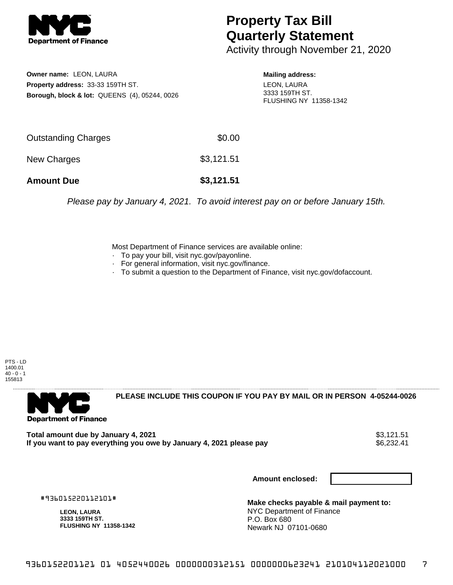

## **Property Tax Bill Quarterly Statement**

Activity through November 21, 2020

**Owner name:** LEON, LAURA **Property address:** 33-33 159TH ST. **Borough, block & lot:** QUEENS (4), 05244, 0026 **Mailing address:** LEON, LAURA 3333 159TH ST. FLUSHING NY 11358-1342

| <b>Amount Due</b>   | \$3,121.51 |
|---------------------|------------|
| New Charges         | \$3,121.51 |
| Outstanding Charges | \$0.00     |

Please pay by January 4, 2021. To avoid interest pay on or before January 15th.

Most Department of Finance services are available online:

- · To pay your bill, visit nyc.gov/payonline.
- For general information, visit nyc.gov/finance.
- · To submit a question to the Department of Finance, visit nyc.gov/dofaccount.





**PLEASE INCLUDE THIS COUPON IF YOU PAY BY MAIL OR IN PERSON 4-05244-0026** 

**Total amount due by January 4, 2021**<br>If you want to pay everything you owe by January 4, 2021 please pay **show that the summer wave to the se**6,232.41 If you want to pay everything you owe by January 4, 2021 please pay

**Amount enclosed:**

#936015220112101#

**LEON, LAURA 3333 159TH ST. FLUSHING NY 11358-1342**

**Make checks payable & mail payment to:** NYC Department of Finance P.O. Box 680 Newark NJ 07101-0680